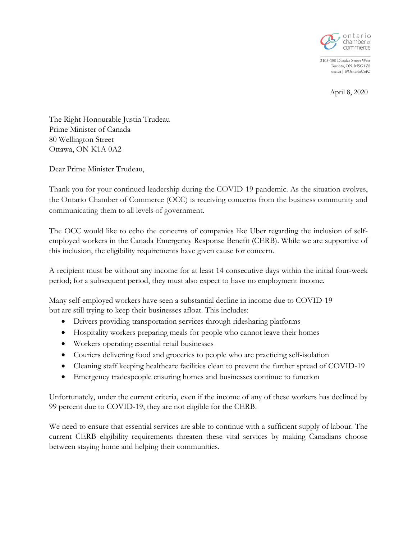

2105-180 Dundas Street West Toronto, ON, M5G1Z8 occ.ca | @OntarioCofC

April 8, 2020

The Right Honourable Justin Trudeau Prime Minister of Canada 80 Wellington Street Ottawa, ON K1A 0A2

Dear Prime Minister Trudeau,

Thank you for your continued leadership during the COVID-19 pandemic. As the situation evolves, the Ontario Chamber of Commerce (OCC) is receiving concerns from the business community and communicating them to all levels of government.

The OCC would like to echo the concerns of companies like Uber regarding the inclusion of selfemployed workers in the Canada Emergency Response Benefit (CERB). While we are supportive of this inclusion, the eligibility requirements have given cause for concern.

A recipient must be without any income for at least 14 consecutive days within the initial four-week period; for a subsequent period, they must also expect to have no employment income.

Many self-employed workers have seen a substantial decline in income due to COVID-19 but are still trying to keep their businesses afloat. This includes:

- Drivers providing transportation services through ridesharing platforms
- Hospitality workers preparing meals for people who cannot leave their homes
- Workers operating essential retail businesses
- Couriers delivering food and groceries to people who are practicing self-isolation
- Cleaning staff keeping healthcare facilities clean to prevent the further spread of COVID-19
- Emergency tradespeople ensuring homes and businesses continue to function

Unfortunately, under the current criteria, even if the income of any of these workers has declined by 99 percent due to COVID-19, they are not eligible for the CERB.

We need to ensure that essential services are able to continue with a sufficient supply of labour. The current CERB eligibility requirements threaten these vital services by making Canadians choose between staying home and helping their communities.